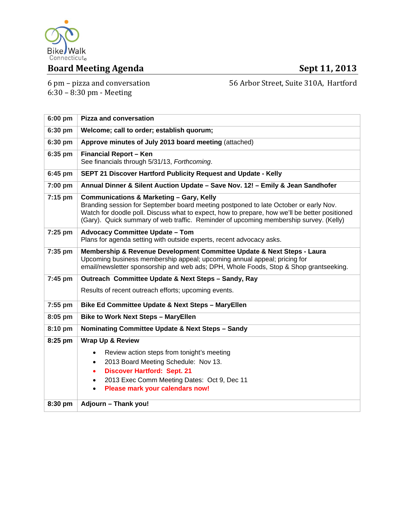

# **Board Meeting Agenda Sept 11, 2013**

6 pm - pizza and conversation  $6:30 - 8:30$  pm - Meeting

56 Arbor Street, Suite 310A, Hartford

| 6:00 pm   | <b>Pizza and conversation</b>                                                                                                                                                                                                                                                                                                         |  |  |
|-----------|---------------------------------------------------------------------------------------------------------------------------------------------------------------------------------------------------------------------------------------------------------------------------------------------------------------------------------------|--|--|
| 6:30 pm   | Welcome; call to order; establish quorum;                                                                                                                                                                                                                                                                                             |  |  |
| 6:30 pm   | Approve minutes of July 2013 board meeting (attached)                                                                                                                                                                                                                                                                                 |  |  |
| 6:35 pm   | <b>Financial Report - Ken</b><br>See financials through 5/31/13, Forthcoming.                                                                                                                                                                                                                                                         |  |  |
| $6:45$ pm | SEPT 21 Discover Hartford Publicity Request and Update - Kelly                                                                                                                                                                                                                                                                        |  |  |
| 7:00 pm   | Annual Dinner & Silent Auction Update - Save Nov. 12! - Emily & Jean Sandhofer                                                                                                                                                                                                                                                        |  |  |
| $7:15$ pm | <b>Communications &amp; Marketing - Gary, Kelly</b><br>Branding session for September board meeting postponed to late October or early Nov.<br>Watch for doodle poll. Discuss what to expect, how to prepare, how we'll be better positioned<br>(Gary). Quick summary of web traffic. Reminder of upcoming membership survey. (Kelly) |  |  |
| $7:25$ pm | <b>Advocacy Committee Update - Tom</b><br>Plans for agenda setting with outside experts, recent advocacy asks.                                                                                                                                                                                                                        |  |  |
| 7:35 pm   | Membership & Revenue Development Committee Update & Next Steps - Laura<br>Upcoming business membership appeal; upcoming annual appeal; pricing for<br>email/newsletter sponsorship and web ads; DPH, Whole Foods, Stop & Shop grantseeking.                                                                                           |  |  |
| $7:45$ pm | Outreach Committee Update & Next Steps - Sandy, Ray                                                                                                                                                                                                                                                                                   |  |  |
|           | Results of recent outreach efforts; upcoming events.                                                                                                                                                                                                                                                                                  |  |  |
| $7:55$ pm | Bike Ed Committee Update & Next Steps - MaryEllen                                                                                                                                                                                                                                                                                     |  |  |
| 8:05 pm   | <b>Bike to Work Next Steps - MaryEllen</b>                                                                                                                                                                                                                                                                                            |  |  |
| 8:10 pm   | Nominating Committee Update & Next Steps - Sandy                                                                                                                                                                                                                                                                                      |  |  |
| 8:25 pm   | <b>Wrap Up &amp; Review</b>                                                                                                                                                                                                                                                                                                           |  |  |
|           | Review action steps from tonight's meeting<br>$\bullet$                                                                                                                                                                                                                                                                               |  |  |
|           | 2013 Board Meeting Schedule: Nov 13.<br>$\bullet$                                                                                                                                                                                                                                                                                     |  |  |
|           | <b>Discover Hartford: Sept. 21</b><br>$\bullet$<br>2013 Exec Comm Meeting Dates: Oct 9, Dec 11                                                                                                                                                                                                                                        |  |  |
|           | Please mark your calendars now!                                                                                                                                                                                                                                                                                                       |  |  |
| $8:30$ pm | Adjourn - Thank you!                                                                                                                                                                                                                                                                                                                  |  |  |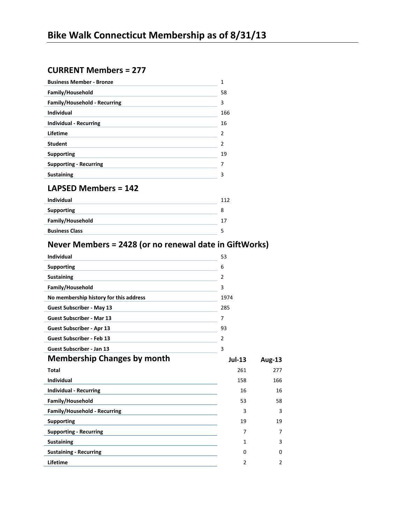# **CURRENT Members = 277**

| <b>Business Member - Bronze</b>     | 1   |
|-------------------------------------|-----|
| Family/Household                    | 58  |
| <b>Family/Household - Recurring</b> | 3   |
| <b>Individual</b>                   | 166 |
| <b>Individual - Recurring</b>       | 16  |
| Lifetime                            | 2   |
| <b>Student</b>                      | 2   |
| <b>Supporting</b>                   | 19  |
| <b>Supporting - Recurring</b>       | 7   |
| <b>Sustaining</b>                   | 3   |
| <b>LAPSED Members = 142</b>         |     |
| .                                   | .   |

| Individual            |  |
|-----------------------|--|
| <b>Supporting</b>     |  |
| Family/Household      |  |
| <b>Business Class</b> |  |
|                       |  |

# **Never Members = 2428 (or no renewal date in GiftWorks)**

| <b>Individual</b>                      | 53             |               |
|----------------------------------------|----------------|---------------|
| <b>Supporting</b>                      | 6              |               |
| <b>Sustaining</b>                      | 2              |               |
| Family/Household                       | 3              |               |
| No membership history for this address | 1974           |               |
| <b>Guest Subscriber - May 13</b>       | 285            |               |
| <b>Guest Subscriber - Mar 13</b>       | 7              |               |
| Guest Subscriber - Apr 13              | 93             |               |
| <b>Guest Subscriber - Feb 13</b>       | $\overline{2}$ |               |
| <b>Guest Subscriber - Jan 13</b>       | 3              |               |
|                                        |                |               |
| <b>Membership Changes by month</b>     | $Jul-13$       | <b>Aug-13</b> |
| <b>Total</b>                           | 261            | 277           |
| <b>Individual</b>                      | 158            | 166           |
| <b>Individual - Recurring</b>          | 16             | 16            |
| Family/Household                       | 53             | 58            |
| Family/Household - Recurring           | 3              | 3             |
| <b>Supporting</b>                      | 19             | 19            |
| <b>Supporting - Recurring</b>          | 7              | 7             |
| <b>Sustaining</b>                      | 1              | 3             |
| <b>Sustaining - Recurring</b>          | 0              | $\Omega$      |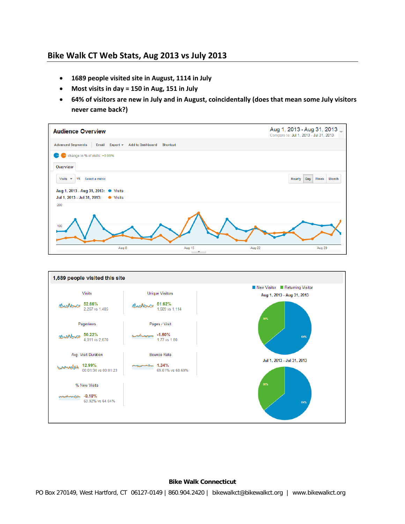# **Bike Walk CT Web Stats, Aug 2013 vs July 2013**

- **1689 people visited site in August, 1114 in July**
- **Most visits in day = 150 in Aug, 151 in July**
- **64% of visitors are new in July and in August, coincidentally (does that mean some July visitors never came back?)**





#### **Bike Walk Connecticut**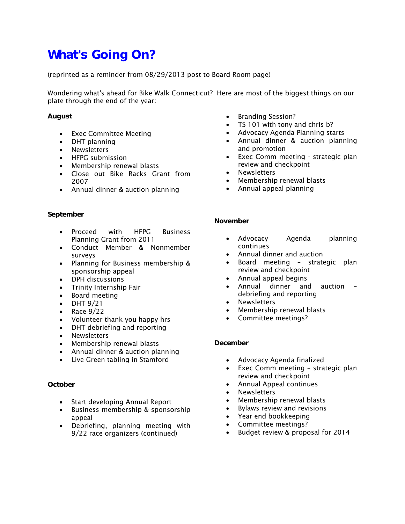# **What's Going On?**

(reprinted as a reminder from 08/29/2013 post to Board Room page)

Wondering what's ahead for Bike Walk Connecticut? Here are most of the biggest things on our plate through the end of the year:

#### **August**

- Exec Committee Meeting
- DHT planning
- Newsletters
- HFPG submission
- Membership renewal blasts
- Close out Bike Racks Grant from 2007
- Annual dinner & auction planning

#### **September**

- Proceed with HFPG Business Planning Grant from 2011
- Conduct Member & Nonmember surveys
- Planning for Business membership & sponsorship appeal
- DPH discussions
- Trinity Internship Fair
- Board meeting
- $\bullet$  DHT 9/21
- $\bullet$  Race 9/22
- Volunteer thank you happy hrs
- DHT debriefing and reporting
- Newsletters
- Membership renewal blasts
- Annual dinner & auction planning
- Live Green tabling in Stamford

#### **October**

- Start developing Annual Report
- Business membership & sponsorship appeal
- Debriefing, planning meeting with 9/22 race organizers (continued)
- Branding Session?
- TS 101 with tony and chris b?
- Advocacy Agenda Planning starts
- Annual dinner & auction planning and promotion
- Exec Comm meeting strategic plan review and checkpoint
- Newsletters
- Membership renewal blasts
- Annual appeal planning

#### **November**

- Advocacy Agenda planning continues
- Annual dinner and auction
- Board meeting strategic plan review and checkpoint
- Annual appeal begins
- Annual dinner and auction debriefing and reporting
- Newsletters
- Membership renewal blasts
- Committee meetings?

#### **December**

- Advocacy Agenda finalized
- Exec Comm meeting strategic plan review and checkpoint
- Annual Appeal continues
- Newsletters
- Membership renewal blasts
- Bylaws review and revisions
- Year end bookkeeping
- Committee meetings?
- Budget review & proposal for 2014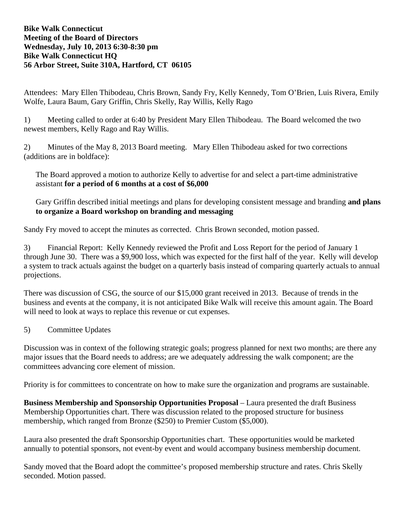# **Bike Walk Connecticut Meeting of the Board of Directors Wednesday, July 10, 2013 6:30-8:30 pm Bike Walk Connecticut HQ 56 Arbor Street, Suite 310A, Hartford, CT 06105**

Attendees: Mary Ellen Thibodeau, Chris Brown, Sandy Fry, Kelly Kennedy, Tom O'Brien, Luis Rivera, Emily Wolfe, Laura Baum, Gary Griffin, Chris Skelly, Ray Willis, Kelly Rago

1) Meeting called to order at 6:40 by President Mary Ellen Thibodeau. The Board welcomed the two newest members, Kelly Rago and Ray Willis.

2) Minutes of the May 8, 2013 Board meeting. Mary Ellen Thibodeau asked for two corrections (additions are in boldface):

The Board approved a motion to authorize Kelly to advertise for and select a part-time administrative assistant **for a period of 6 months at a cost of \$6,000** 

Gary Griffin described initial meetings and plans for developing consistent message and branding **and plans to organize a Board workshop on branding and messaging** 

Sandy Fry moved to accept the minutes as corrected. Chris Brown seconded, motion passed.

3) Financial Report: Kelly Kennedy reviewed the Profit and Loss Report for the period of January 1 through June 30. There was a \$9,900 loss, which was expected for the first half of the year. Kelly will develop a system to track actuals against the budget on a quarterly basis instead of comparing quarterly actuals to annual projections.

There was discussion of CSG, the source of our \$15,000 grant received in 2013. Because of trends in the business and events at the company, it is not anticipated Bike Walk will receive this amount again. The Board will need to look at ways to replace this revenue or cut expenses.

# 5) Committee Updates

Discussion was in context of the following strategic goals; progress planned for next two months; are there any major issues that the Board needs to address; are we adequately addressing the walk component; are the committees advancing core element of mission.

Priority is for committees to concentrate on how to make sure the organization and programs are sustainable.

**Business Membership and Sponsorship Opportunities Proposal** – Laura presented the draft Business Membership Opportunities chart. There was discussion related to the proposed structure for business membership, which ranged from Bronze (\$250) to Premier Custom (\$5,000).

Laura also presented the draft Sponsorship Opportunities chart. These opportunities would be marketed annually to potential sponsors, not event-by event and would accompany business membership document.

Sandy moved that the Board adopt the committee's proposed membership structure and rates. Chris Skelly seconded. Motion passed.